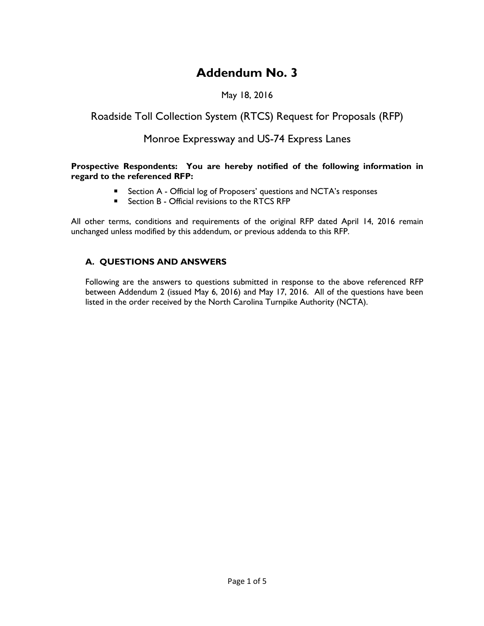# **Addendum No. 3**

## May 18, 2016

# Roadside Toll Collection System (RTCS) Request for Proposals (RFP)

# Monroe Expressway and US-74 Express Lanes

#### **Prospective Respondents: You are hereby notified of the following information in regard to the referenced RFP:**

- Section A Official log of Proposers' questions and NCTA's responses
- Section B Official revisions to the RTCS RFP

All other terms, conditions and requirements of the original RFP dated April 14, 2016 remain unchanged unless modified by this addendum, or previous addenda to this RFP.

### **A. QUESTIONS AND ANSWERS**

Following are the answers to questions submitted in response to the above referenced RFP between Addendum 2 (issued May 6, 2016) and May 17, 2016. All of the questions have been listed in the order received by the North Carolina Turnpike Authority (NCTA).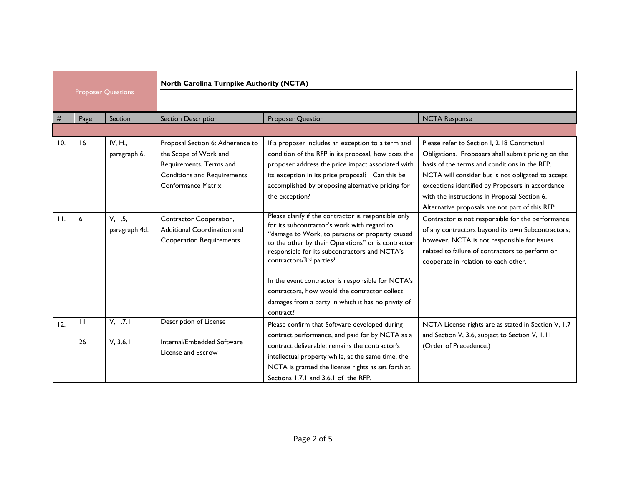|                           |                    |                          | North Carolina Turnpike Authority (NCTA)                                                                                                                |                                                                                                                                                                                                                                                                                                                                                                                                                                                                   |                                                                                                                                                                                                                                                                                                                                                                |  |
|---------------------------|--------------------|--------------------------|---------------------------------------------------------------------------------------------------------------------------------------------------------|-------------------------------------------------------------------------------------------------------------------------------------------------------------------------------------------------------------------------------------------------------------------------------------------------------------------------------------------------------------------------------------------------------------------------------------------------------------------|----------------------------------------------------------------------------------------------------------------------------------------------------------------------------------------------------------------------------------------------------------------------------------------------------------------------------------------------------------------|--|
| <b>Proposer Questions</b> |                    |                          |                                                                                                                                                         |                                                                                                                                                                                                                                                                                                                                                                                                                                                                   |                                                                                                                                                                                                                                                                                                                                                                |  |
| #                         | Page               | Section                  | <b>Section Description</b>                                                                                                                              | <b>Proposer Question</b>                                                                                                                                                                                                                                                                                                                                                                                                                                          | <b>NCTA Response</b>                                                                                                                                                                                                                                                                                                                                           |  |
|                           |                    |                          |                                                                                                                                                         |                                                                                                                                                                                                                                                                                                                                                                                                                                                                   |                                                                                                                                                                                                                                                                                                                                                                |  |
| 10.                       | 16                 | IV, H.,<br>paragraph 6.  | Proposal Section 6: Adherence to<br>the Scope of Work and<br>Requirements, Terms and<br><b>Conditions and Requirements</b><br><b>Conformance Matrix</b> | If a proposer includes an exception to a term and<br>condition of the RFP in its proposal, how does the<br>proposer address the price impact associated with<br>its exception in its price proposal? Can this be<br>accomplished by proposing alternative pricing for<br>the exception?                                                                                                                                                                           | Please refer to Section I, 2.18 Contractual<br>Obligations. Proposers shall submit pricing on the<br>basis of the terms and conditions in the RFP.<br>NCTA will consider but is not obligated to accept<br>exceptions identified by Proposers in accordance<br>with the instructions in Proposal Section 6.<br>Alternative proposals are not part of this RFP. |  |
| $\mathbf{H}$ .            | 6                  | V, 1.5,<br>paragraph 4d. | Contractor Cooperation,<br>Additional Coordination and<br><b>Cooperation Requirements</b>                                                               | Please clarify if the contractor is responsible only<br>for its subcontractor's work with regard to<br>"damage to Work, to persons or property caused<br>to the other by their Operations" or is contractor<br>responsible for its subcontractors and NCTA's<br>contractors/3rd parties?<br>In the event contractor is responsible for NCTA's<br>contractors, how would the contractor collect<br>damages from a party in which it has no privity of<br>contract? | Contractor is not responsible for the performance<br>of any contractors beyond its own Subcontractors;<br>however, NCTA is not responsible for issues<br>related to failure of contractors to perform or<br>cooperate in relation to each other.                                                                                                               |  |
| 12.                       | $\mathbf{1}$<br>26 | V, 1.7.1<br>V, 3.6.1     | Description of License<br>Internal/Embedded Software<br>License and Escrow                                                                              | Please confirm that Software developed during<br>contract performance, and paid for by NCTA as a<br>contract deliverable, remains the contractor's<br>intellectual property while, at the same time, the<br>NCTA is granted the license rights as set forth at<br>Sections 1.7.1 and 3.6.1 of the RFP.                                                                                                                                                            | NCTA License rights are as stated in Section V, 1.7<br>and Section V, 3.6, subject to Section V, I.II<br>(Order of Precedence.)                                                                                                                                                                                                                                |  |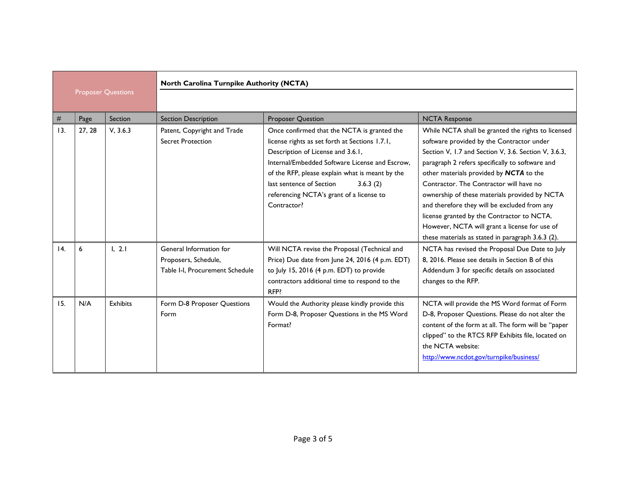|                           |        |                 | North Carolina Turnpike Authority (NCTA)                                           |                                                                                                                                                                                                                                                                                                                                            |                                                                                                                                                                                                                                                                                                                                                                                                                                                                                                                                                       |  |
|---------------------------|--------|-----------------|------------------------------------------------------------------------------------|--------------------------------------------------------------------------------------------------------------------------------------------------------------------------------------------------------------------------------------------------------------------------------------------------------------------------------------------|-------------------------------------------------------------------------------------------------------------------------------------------------------------------------------------------------------------------------------------------------------------------------------------------------------------------------------------------------------------------------------------------------------------------------------------------------------------------------------------------------------------------------------------------------------|--|
| <b>Proposer Questions</b> |        |                 |                                                                                    |                                                                                                                                                                                                                                                                                                                                            |                                                                                                                                                                                                                                                                                                                                                                                                                                                                                                                                                       |  |
| #                         | Page   | Section         | <b>Section Description</b>                                                         | <b>Proposer Question</b>                                                                                                                                                                                                                                                                                                                   | <b>NCTA Response</b>                                                                                                                                                                                                                                                                                                                                                                                                                                                                                                                                  |  |
| 13.                       | 27, 28 | V, 3.6.3        | Patent, Copyright and Trade<br><b>Secret Protection</b>                            | Once confirmed that the NCTA is granted the<br>license rights as set forth at Sections 1.7.1,<br>Description of License and 3.6.1,<br>Internal/Embedded Software License and Escrow,<br>of the RFP, please explain what is meant by the<br>last sentence of Section<br>3.6.3(2)<br>referencing NCTA's grant of a license to<br>Contractor? | While NCTA shall be granted the rights to licensed<br>software provided by the Contractor under<br>Section V, 1.7 and Section V, 3.6. Section V, 3.6.3,<br>paragraph 2 refers specifically to software and<br>other materials provided by NCTA to the<br>Contractor. The Contractor will have no<br>ownership of these materials provided by NCTA<br>and therefore they will be excluded from any<br>license granted by the Contractor to NCTA.<br>However, NCTA will grant a license for use of<br>these materials as stated in paragraph 3.6.3 (2). |  |
| 14.                       | 6      | 1, 2.1          | General Information for<br>Proposers, Schedule,<br>Table I-I. Procurement Schedule | Will NCTA revise the Proposal (Technical and<br>Price) Due date from June 24, 2016 (4 p.m. EDT)<br>to July 15, 2016 (4 p.m. EDT) to provide<br>contractors additional time to respond to the<br>RFP?                                                                                                                                       | NCTA has revised the Proposal Due Date to July<br>8, 2016. Please see details in Section B of this<br>Addendum 3 for specific details on associated<br>changes to the RFP.                                                                                                                                                                                                                                                                                                                                                                            |  |
| 15.                       | N/A    | <b>Exhibits</b> | Form D-8 Proposer Questions<br>Form                                                | Would the Authority please kindly provide this<br>Form D-8, Proposer Questions in the MS Word<br>Format?                                                                                                                                                                                                                                   | NCTA will provide the MS Word format of Form<br>D-8, Proposer Questions. Please do not alter the<br>content of the form at all. The form will be "paper<br>clipped" to the RTCS RFP Exhibits file, located on<br>the NCTA website:<br>http://www.ncdot.gov/turnpike/business/                                                                                                                                                                                                                                                                         |  |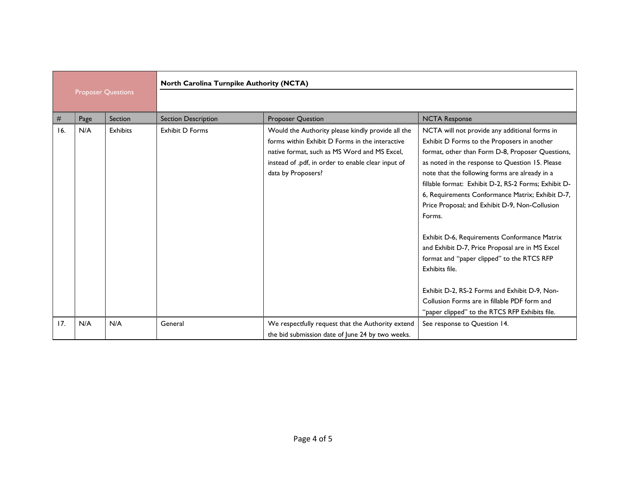| <b>Proposer Questions</b> |      |                 | North Carolina Turnpike Authority (NCTA) |                                                                                                                                                                                                                                  |                                                                                                                                                                                                                                                                                                                                                                                                                                                                                                                                                                                                                                                                                                                                                     |  |
|---------------------------|------|-----------------|------------------------------------------|----------------------------------------------------------------------------------------------------------------------------------------------------------------------------------------------------------------------------------|-----------------------------------------------------------------------------------------------------------------------------------------------------------------------------------------------------------------------------------------------------------------------------------------------------------------------------------------------------------------------------------------------------------------------------------------------------------------------------------------------------------------------------------------------------------------------------------------------------------------------------------------------------------------------------------------------------------------------------------------------------|--|
|                           |      |                 |                                          |                                                                                                                                                                                                                                  |                                                                                                                                                                                                                                                                                                                                                                                                                                                                                                                                                                                                                                                                                                                                                     |  |
| #                         | Page | Section         | <b>Section Description</b>               | <b>Proposer Question</b>                                                                                                                                                                                                         | <b>NCTA Response</b>                                                                                                                                                                                                                                                                                                                                                                                                                                                                                                                                                                                                                                                                                                                                |  |
| 16.                       | N/A  | <b>Exhibits</b> | <b>Exhibit D Forms</b>                   | Would the Authority please kindly provide all the<br>forms within Exhibit D Forms in the interactive<br>native format, such as MS Word and MS Excel,<br>instead of .pdf, in order to enable clear input of<br>data by Proposers? | NCTA will not provide any additional forms in<br>Exhibit D Forms to the Proposers in another<br>format, other than Form D-8, Proposer Questions,<br>as noted in the response to Question 15. Please<br>note that the following forms are already in a<br>fillable format: Exhibit D-2, RS-2 Forms; Exhibit D-<br>6, Requirements Conformance Matrix; Exhibit D-7,<br>Price Proposal; and Exhibit D-9, Non-Collusion<br>Forms.<br>Exhibit D-6, Requirements Conformance Matrix<br>and Exhibit D-7, Price Proposal are in MS Excel<br>format and "paper clipped" to the RTCS RFP<br>Exhibits file.<br>Exhibit D-2, RS-2 Forms and Exhibit D-9, Non-<br>Collusion Forms are in fillable PDF form and<br>"paper clipped" to the RTCS RFP Exhibits file. |  |
| 17.                       | N/A  | N/A             | General                                  | We respectfully request that the Authority extend                                                                                                                                                                                | See response to Question 14.                                                                                                                                                                                                                                                                                                                                                                                                                                                                                                                                                                                                                                                                                                                        |  |
|                           |      |                 |                                          | the bid submission date of June 24 by two weeks.                                                                                                                                                                                 |                                                                                                                                                                                                                                                                                                                                                                                                                                                                                                                                                                                                                                                                                                                                                     |  |